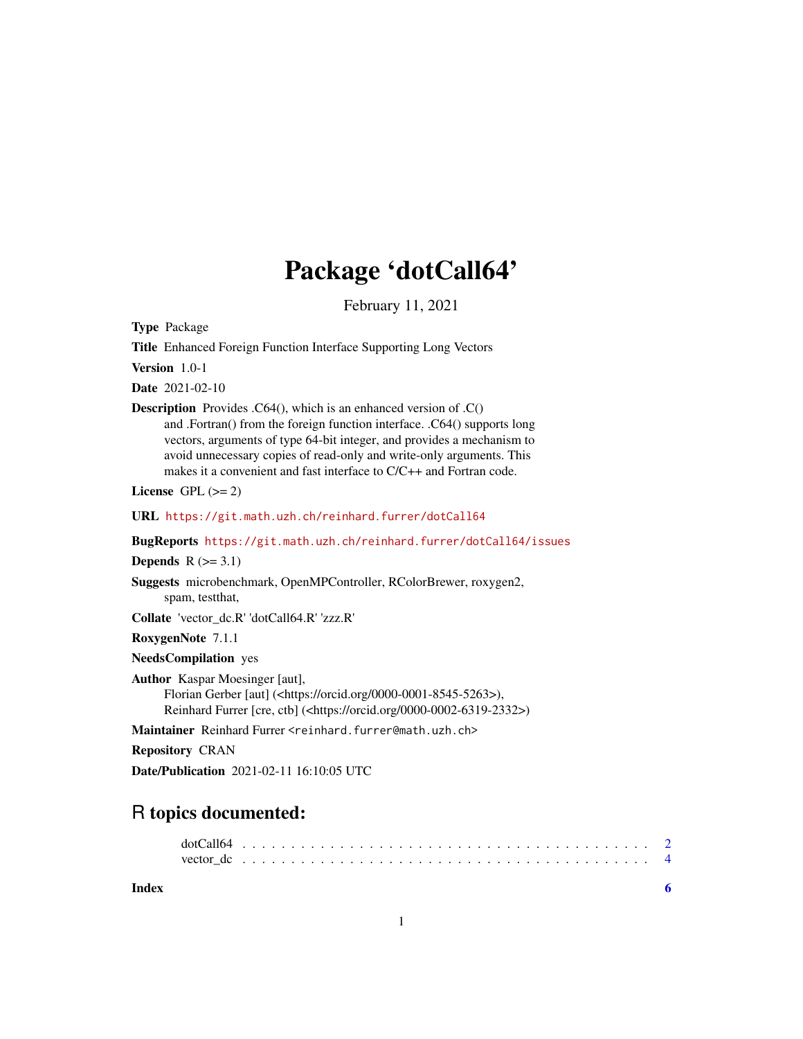## Package 'dotCall64'

February 11, 2021

<span id="page-0-0"></span>Type Package

Title Enhanced Foreign Function Interface Supporting Long Vectors

Version 1.0-1

Date 2021-02-10

Description Provides .C64(), which is an enhanced version of .C() and .Fortran() from the foreign function interface. .C64() supports long vectors, arguments of type 64-bit integer, and provides a mechanism to avoid unnecessary copies of read-only and write-only arguments. This makes it a convenient and fast interface to C/C++ and Fortran code.

License GPL  $(>= 2)$ 

URL <https://git.math.uzh.ch/reinhard.furrer/dotCall64>

BugReports <https://git.math.uzh.ch/reinhard.furrer/dotCall64/issues>

Depends  $R$  ( $>= 3.1$ )

Suggests microbenchmark, OpenMPController, RColorBrewer, roxygen2, spam, testthat,

Collate 'vector\_dc.R' 'dotCall64.R' 'zzz.R'

RoxygenNote 7.1.1

NeedsCompilation yes

Author Kaspar Moesinger [aut], Florian Gerber [aut] (<https://orcid.org/0000-0001-8545-5263>), Reinhard Furrer [cre, ctb] (<https://orcid.org/0000-0002-6319-2332>)

Maintainer Reinhard Furrer <reinhard.furrer@math.uzh.ch>

Repository CRAN

Date/Publication 2021-02-11 16:10:05 UTC

## R topics documented:

**Index** [6](#page-5-0) **6**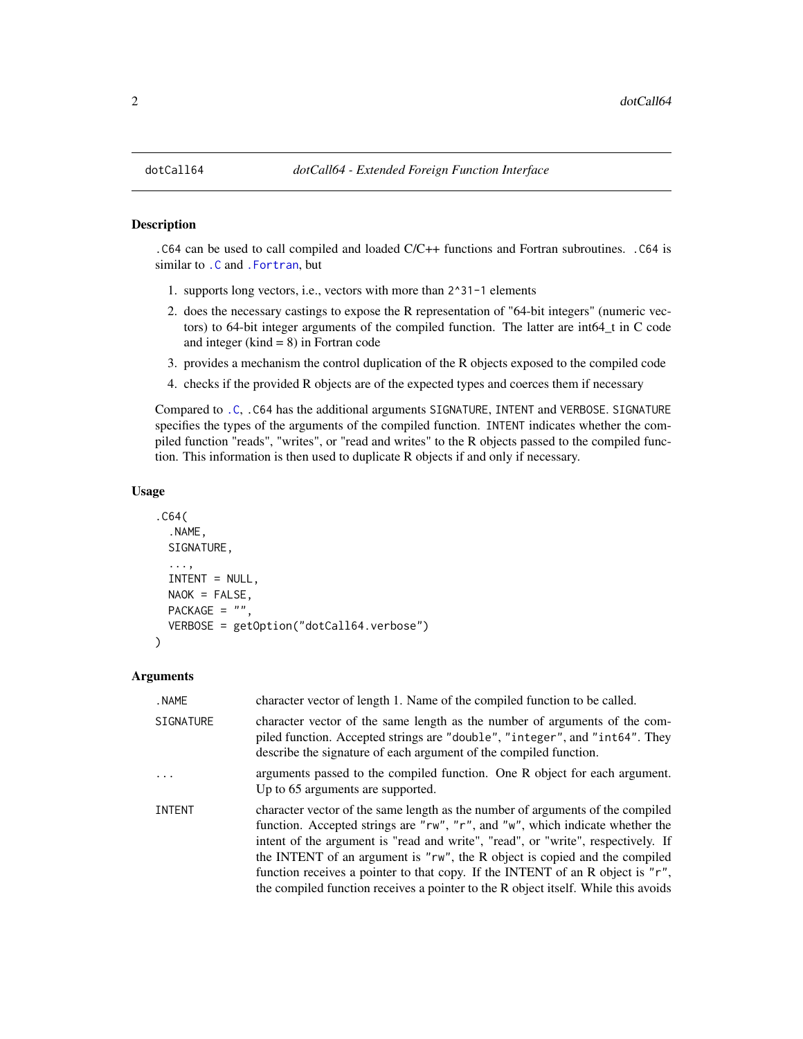#### <span id="page-1-1"></span><span id="page-1-0"></span>Description

.C64 can be used to call compiled and loaded C/C++ functions and Fortran subroutines. .C64 is similar to [.C](#page-0-0) and [.Fortran](#page-0-0), but

- 1. supports long vectors, i.e., vectors with more than 2^31-1 elements
- 2. does the necessary castings to expose the R representation of "64-bit integers" (numeric vectors) to 64-bit integer arguments of the compiled function. The latter are int64\_t in C code and integer ( $\text{kind} = 8$ ) in Fortran code
- 3. provides a mechanism the control duplication of the R objects exposed to the compiled code
- 4. checks if the provided R objects are of the expected types and coerces them if necessary

Compared to [.C](#page-0-0), .C64 has the additional arguments SIGNATURE, INTENT and VERBOSE. SIGNATURE specifies the types of the arguments of the compiled function. INTENT indicates whether the compiled function "reads", "writes", or "read and writes" to the R objects passed to the compiled function. This information is then used to duplicate R objects if and only if necessary.

#### Usage

```
.C64(
  .NAME,
  SIGNATURE,
  ...,
  INTENT = NULL,
 NAOK = FALSE,PACKAGE = ",
  VERBOSE = getOption("dotCall64.verbose")
)
```
#### Arguments

| . NAME        | character vector of length 1. Name of the compiled function to be called.                                                                                                                                                                                                                                                                                                                                                                                                                                 |
|---------------|-----------------------------------------------------------------------------------------------------------------------------------------------------------------------------------------------------------------------------------------------------------------------------------------------------------------------------------------------------------------------------------------------------------------------------------------------------------------------------------------------------------|
| SIGNATURE     | character vector of the same length as the number of arguments of the com-<br>piled function. Accepted strings are "double", "integer", and "int64". They<br>describe the signature of each argument of the compiled function.                                                                                                                                                                                                                                                                            |
| .             | arguments passed to the compiled function. One R object for each argument.<br>Up to 65 arguments are supported.                                                                                                                                                                                                                                                                                                                                                                                           |
| <b>INTENT</b> | character vector of the same length as the number of arguments of the compiled<br>function. Accepted strings are "rw", "r", and "w", which indicate whether the<br>intent of the argument is "read and write", "read", or "write", respectively. If<br>the INTENT of an argument is "rw", the R object is copied and the compiled<br>function receives a pointer to that copy. If the INTENT of an R object is "r",<br>the compiled function receives a pointer to the R object itself. While this avoids |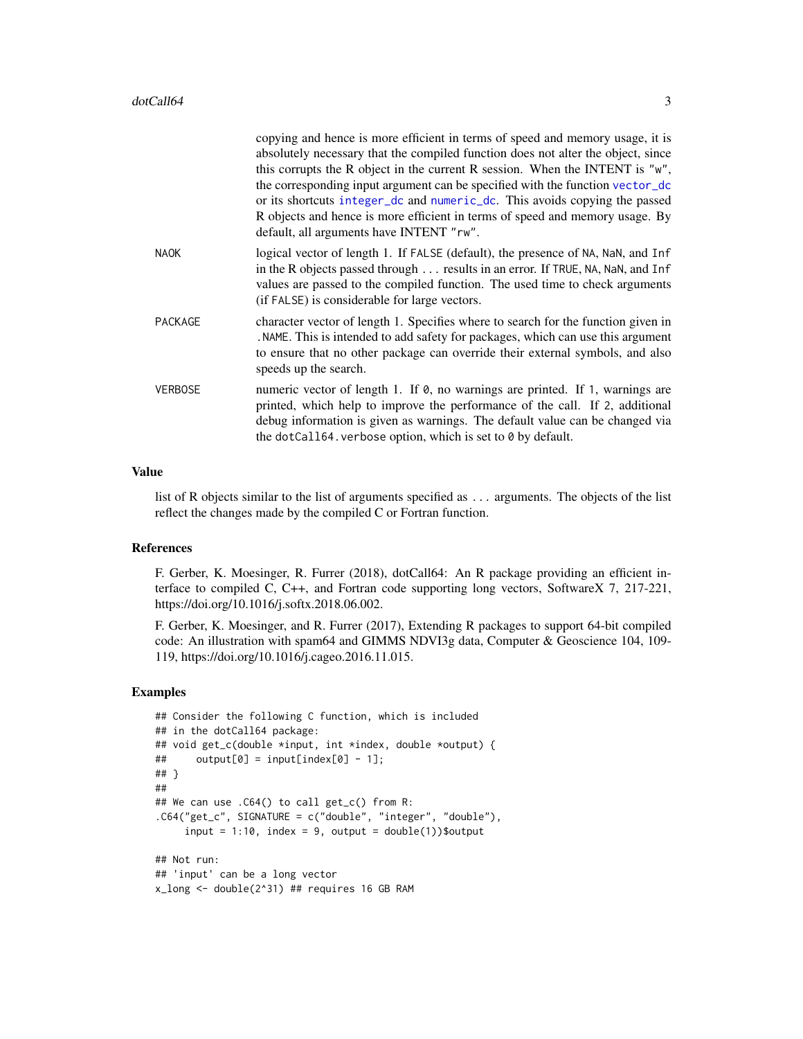<span id="page-2-0"></span>

|                | copying and hence is more efficient in terms of speed and memory usage, it is<br>absolutely necessary that the compiled function does not alter the object, since<br>this corrupts the R object in the current R session. When the INTENT is "w",<br>the corresponding input argument can be specified with the function vector_dc<br>or its shortcuts integer_dc and numeric_dc. This avoids copying the passed<br>R objects and hence is more efficient in terms of speed and memory usage. By<br>default, all arguments have INTENT "rw". |
|----------------|----------------------------------------------------------------------------------------------------------------------------------------------------------------------------------------------------------------------------------------------------------------------------------------------------------------------------------------------------------------------------------------------------------------------------------------------------------------------------------------------------------------------------------------------|
| <b>NAOK</b>    | logical vector of length 1. If FALSE (default), the presence of NA, NaN, and Inf<br>in the R objects passed through results in an error. If TRUE, NA, NaN, and Inf<br>values are passed to the compiled function. The used time to check arguments<br>(if FALSE) is considerable for large vectors.                                                                                                                                                                                                                                          |
| <b>PACKAGE</b> | character vector of length 1. Specifies where to search for the function given in<br>NAME. This is intended to add safety for packages, which can use this argument<br>to ensure that no other package can override their external symbols, and also<br>speeds up the search.                                                                                                                                                                                                                                                                |
| <b>VERBOSE</b> | numeric vector of length 1. If 0, no warnings are printed. If 1, warnings are<br>printed, which help to improve the performance of the call. If 2, additional<br>debug information is given as warnings. The default value can be changed via<br>the dotCall64. verbose option, which is set to 0 by default.                                                                                                                                                                                                                                |

#### Value

list of R objects similar to the list of arguments specified as ... arguments. The objects of the list reflect the changes made by the compiled C or Fortran function.

#### References

F. Gerber, K. Moesinger, R. Furrer (2018), dotCall64: An R package providing an efficient interface to compiled C, C++, and Fortran code supporting long vectors, SoftwareX 7, 217-221, https://doi.org/10.1016/j.softx.2018.06.002.

F. Gerber, K. Moesinger, and R. Furrer (2017), Extending R packages to support 64-bit compiled code: An illustration with spam64 and GIMMS NDVI3g data, Computer & Geoscience 104, 109- 119, https://doi.org/10.1016/j.cageo.2016.11.015.

#### Examples

```
## Consider the following C function, which is included
## in the dotCall64 package:
## void get_c(double *input, int *index, double *output) {
\# output[0] = input[index[0] - 1];
## }
##
## We can use .C64() to call get_c() from R:
.C64("get_c", SIGNATURE = c("double", "integer", "double"),
     input = 1:10, index = 9, output = double(1)) $output
## Not run:
## 'input' can be a long vector
x_long <- double(2^31) ## requires 16 GB RAM
```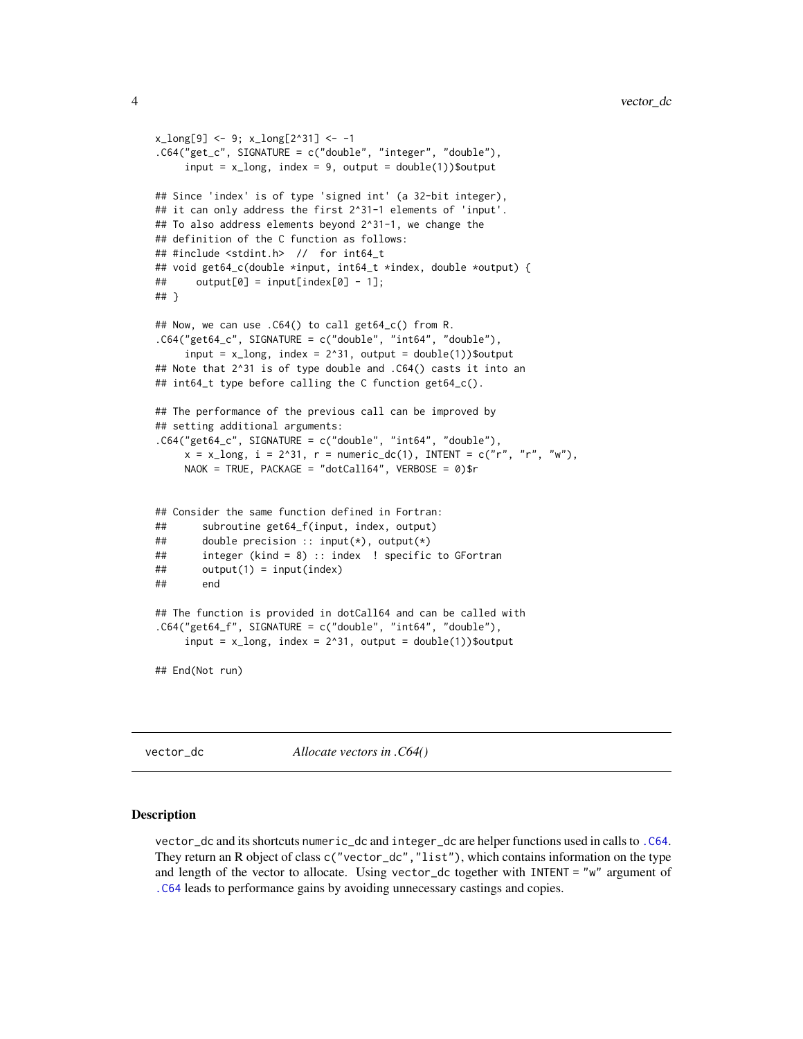```
x_{\text{long}}[9] <- 9; x_{\text{long}}[2^31] <- -1
.C64("get_c", SIGNATURE = c("double", "integer", "double"),
     input = x_{long, index = 9, output = double(1)) $output
## Since 'index' is of type 'signed int' (a 32-bit integer),
## it can only address the first 2^31-1 elements of 'input'.
## To also address elements beyond 2^31-1, we change the
## definition of the C function as follows:
## #include <stdint.h> // for int64_t
## void get64_c(double *input, int64_t *index, double *output) {
\# output[0] = input[index[0] - 1];
## }
## Now, we can use .C64() to call get64_c() from R.
.C64("get64_c", SIGNATURE = c("double", "int64", "double"),
     input = x_l long, index = 2^31, output = double(1))$output
## Note that 2^31 is of type double and .C64() casts it into an
## int64_t type before calling the C function get64_c().
## The performance of the previous call can be improved by
## setting additional arguments:
.C64("get64_c", SIGNATURE = c("double", "int64", "double"),
     x = x_{long, i} = 2^{31}, r = numeric_dc(1), INTENT = c("r", "r", "w"),NAOK = TRUE, PACKAGE = "dotCall64", VERBOSE = 0)$r
## Consider the same function defined in Fortran:
## subroutine get64_f(input, index, output)
## double precision :: input(*), output(*)
## integer (kind = 8) :: index ! specific to GFortran
## output(1) = input(index)
## end
## The function is provided in dotCall64 and can be called with
.C64("get64_f", SIGNATURE = c("double", "int64", "double"),
     input = x_{long, index} = 2^31, output = double(1)) $output
## End(Not run)
```
<span id="page-3-1"></span>vector\_dc *Allocate vectors in .C64()*

#### <span id="page-3-2"></span>Description

vector\_dc and its shortcuts numeric\_dc and integer\_dc are helper functions used in calls to [.C64](#page-1-1). They return an R object of class c("vector\_dc","list"), which contains information on the type and length of the vector to allocate. Using vector\_dc together with INTENT = "w" argument of [.C64](#page-1-1) leads to performance gains by avoiding unnecessary castings and copies.

<span id="page-3-0"></span>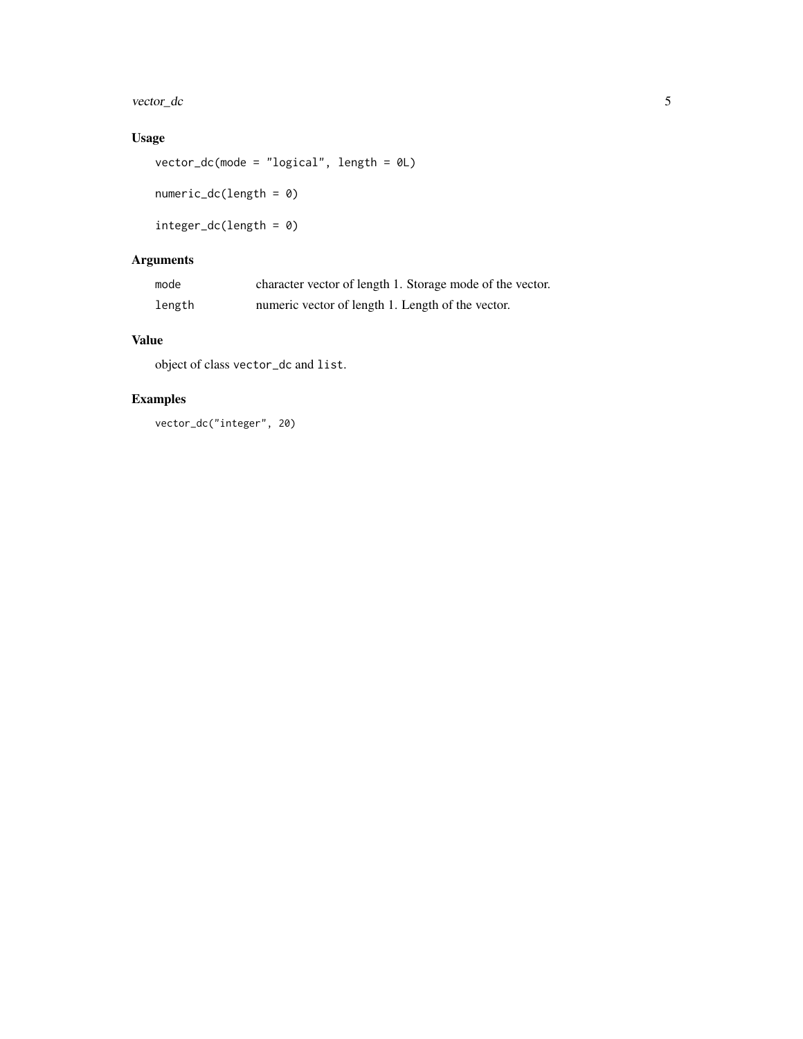vector\_dc 5

#### Usage

vector\_dc(mode = "logical", length = 0L)

numeric\_dc(length = 0)

integer\_dc(length = 0)

### Arguments

| mode   | character vector of length 1. Storage mode of the vector. |
|--------|-----------------------------------------------------------|
| length | numeric vector of length 1. Length of the vector.         |

#### Value

object of class vector\_dc and list.

#### Examples

vector\_dc("integer", 20)